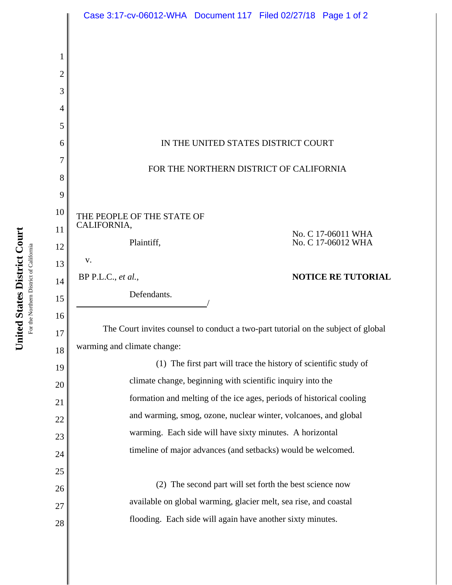|                | Case 3:17-cv-06012-WHA  Document 117  Filed 02/27/18  Page 1 of 2                 |
|----------------|-----------------------------------------------------------------------------------|
|                |                                                                                   |
| $\mathbf 1$    |                                                                                   |
| $\overline{2}$ |                                                                                   |
| 3              |                                                                                   |
| $\overline{4}$ |                                                                                   |
| 5              |                                                                                   |
| 6              | IN THE UNITED STATES DISTRICT COURT                                               |
| 7              |                                                                                   |
| 8              | FOR THE NORTHERN DISTRICT OF CALIFORNIA                                           |
| 9              |                                                                                   |
| 10             | THE PEOPLE OF THE STATE OF                                                        |
| 11             | CALIFORNIA,<br>No. C 17-06011 WHA                                                 |
| 12             | No. C 17-06012 WHA<br>Plaintiff,                                                  |
| 13             | V.                                                                                |
| 14             | <b>NOTICE RE TUTORIAL</b><br>BP P.L.C., et al.,                                   |
| 15             | Defendants.                                                                       |
| 16             |                                                                                   |
| 17             | The Court invites counsel to conduct a two-part tutorial on the subject of global |
| 18             | warming and climate change:                                                       |
| 19             | (1) The first part will trace the history of scientific study of                  |
| 20             | climate change, beginning with scientific inquiry into the                        |
| 21             | formation and melting of the ice ages, periods of historical cooling              |
| 22             | and warming, smog, ozone, nuclear winter, volcanoes, and global                   |
| 23             | warming. Each side will have sixty minutes. A horizontal                          |
| 24             | timeline of major advances (and setbacks) would be welcomed.                      |
| 25             |                                                                                   |
| 26             | (2) The second part will set forth the best science now                           |
| 27             | available on global warming, glacier melt, sea rise, and coastal                  |
|                |                                                                                   |
| 28             | flooding. Each side will again have another sixty minutes.                        |

United States District Court **United States District Court** For the Northern District of California For the Northern District of California